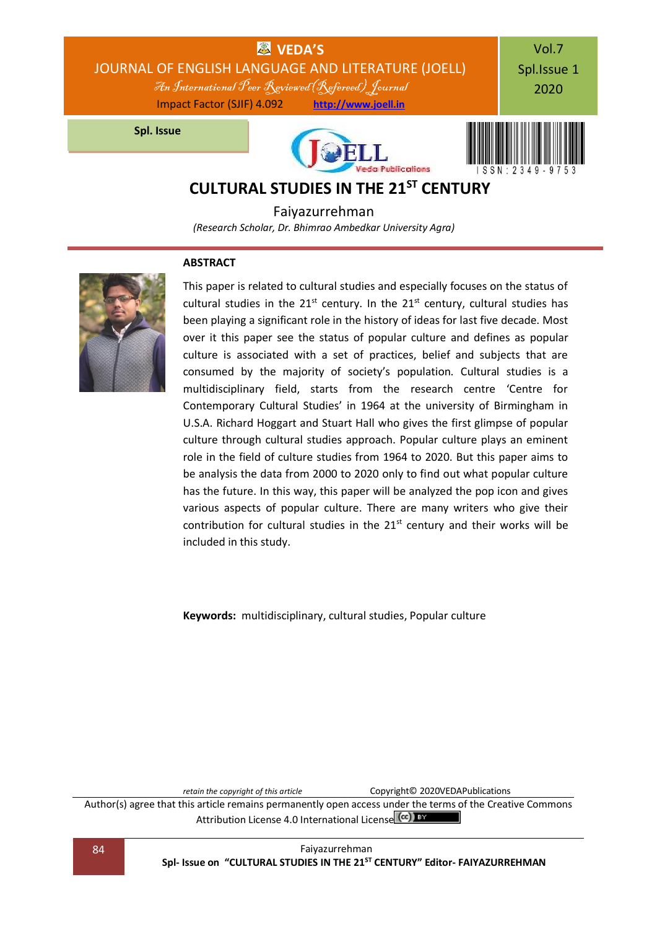

Faiyazurrehman *(Research Scholar, Dr. Bhimrao Ambedkar University Agra)*

### **ABSTRACT**



This paper is related to cultural studies and especially focuses on the status of cultural studies in the  $21^{st}$  century. In the  $21^{st}$  century, cultural studies has been playing a significant role in the history of ideas for last five decade. Most over it this paper see the status of popular culture and defines as popular culture is associated with a set of practices, belief and subjects that are consumed by the majority of society's population. Cultural studies is a multidisciplinary field, starts from the research centre 'Centre for Contemporary Cultural Studies' in 1964 at the university of Birmingham in U.S.A. Richard Hoggart and Stuart Hall who gives the first glimpse of popular culture through cultural studies approach. Popular culture plays an eminent role in the field of culture studies from 1964 to 2020. But this paper aims to be analysis the data from 2000 to 2020 only to find out what popular culture has the future. In this way, this paper will be analyzed the pop icon and gives various aspects of popular culture. There are many writers who give their contribution for cultural studies in the  $21<sup>st</sup>$  century and their works will be included in this study.

**Keywords:** multidisciplinary, cultural studies, Popular culture

*retain the copyright of this article* Copyright© 2020VEDAPublications

Author(s) agree that this article remains permanently open access under the terms of the Creative Commons Attribution Lic[e](http://creativecommons.org/licenses/by/4.0/)nse 4.0 International License (cc) BY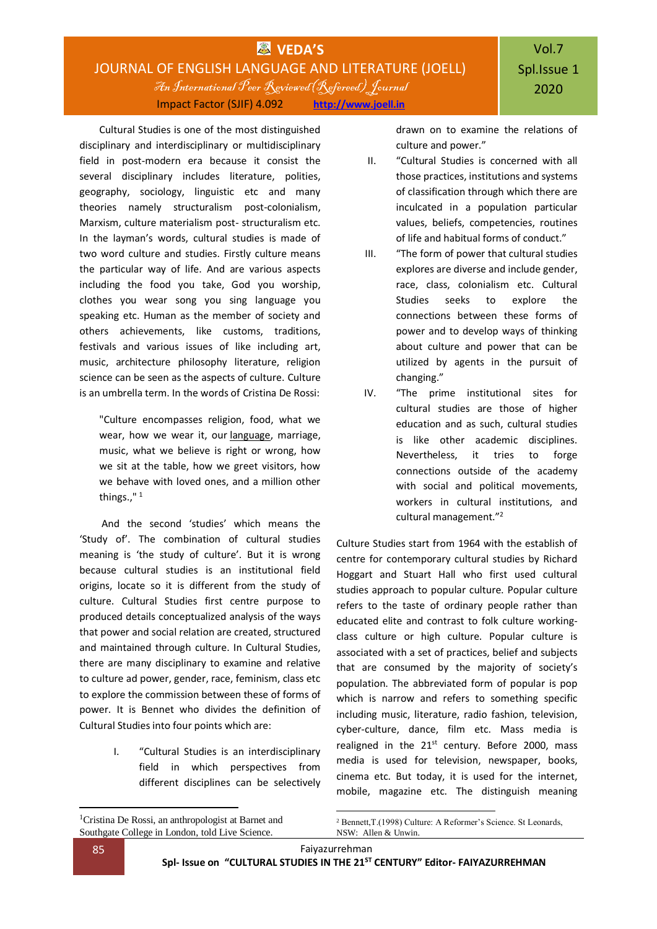## **WEDA'S** JOURNAL OF ENGLISH LANGUAGE AND LITERATURE (JOELL) An International Peer Reviewed(Refereed) Journal Impact Factor (SJIF) 4.092 **[http://www.joell.in](http://www.joell.in/)**

Cultural Studies is one of the most distinguished disciplinary and interdisciplinary or multidisciplinary field in post-modern era because it consist the several disciplinary includes literature, polities, geography, sociology, linguistic etc and many theories namely structuralism post-colonialism, Marxism, culture materialism post- structuralism etc. In the layman's words, cultural studies is made of two word culture and studies. Firstly culture means the particular way of life. And are various aspects including the food you take, God you worship, clothes you wear song you sing language you speaking etc. Human as the member of society and others achievements, like customs, traditions, festivals and various issues of like including art, music, architecture philosophy literature, religion science can be seen as the aspects of culture. Culture is an umbrella term. In the words of Cristina De Rossi:

"Culture encompasses religion, food, what we wear, how we wear it, our [language,](https://www.livescience.com/65108-brain-megabyte-storage-for-language.html) marriage, music, what we believe is right or wrong, how we sit at the table, how we greet visitors, how we behave with loved ones, and a million other things.," <sup>1</sup>

And the second 'studies' which means the 'Study of'. The combination of cultural studies meaning is 'the study of culture'. But it is wrong because cultural studies is an institutional field origins, locate so it is different from the study of culture. Cultural Studies first centre purpose to produced details conceptualized analysis of the ways that power and social relation are created, structured and maintained through culture. In Cultural Studies, there are many disciplinary to examine and relative to culture ad power, gender, race, feminism, class etc to explore the commission between these of forms of power. It is Bennet who divides the definition of Cultural Studies into four points which are:

> I. "Cultural Studies is an interdisciplinary field in which perspectives from different disciplines can be selectively

drawn on to examine the relations of culture and power."

- II. "Cultural Studies is concerned with all those practices, institutions and systems of classification through which there are inculcated in a population particular values, beliefs, competencies, routines of life and habitual forms of conduct."
- III. "The form of power that cultural studies explores are diverse and include gender, race, class, colonialism etc. Cultural Studies seeks to explore the connections between these forms of power and to develop ways of thinking about culture and power that can be utilized by agents in the pursuit of changing."
- IV. "The prime institutional sites for cultural studies are those of higher education and as such, cultural studies is like other academic disciplines. Nevertheless, it tries to forge connections outside of the academy with social and political movements, workers in cultural institutions, and cultural management."<sup>2</sup>

Culture Studies start from 1964 with the establish of centre for contemporary cultural studies by Richard Hoggart and Stuart Hall who first used cultural studies approach to popular culture. Popular culture refers to the taste of ordinary people rather than educated elite and contrast to folk culture workingclass culture or high culture. Popular culture is associated with a set of practices, belief and subjects that are consumed by the majority of society's population. The abbreviated form of popular is pop which is narrow and refers to something specific including music, literature, radio fashion, television, cyber-culture, dance, film etc. Mass media is realigned in the  $21^{st}$  century. Before 2000, mass media is used for television, newspaper, books, cinema etc. But today, it is used for the internet, mobile, magazine etc. The distinguish meaning

1

<sup>&</sup>lt;sup>1</sup>Cristina De Rossi, an anthropologist at Barnet and Southgate College in London, told Live Science.

<sup>1</sup> <sup>2</sup> Bennett,T.(1998) Culture: A Reformer's Science. St Leonards, NSW: Allen & Unwin.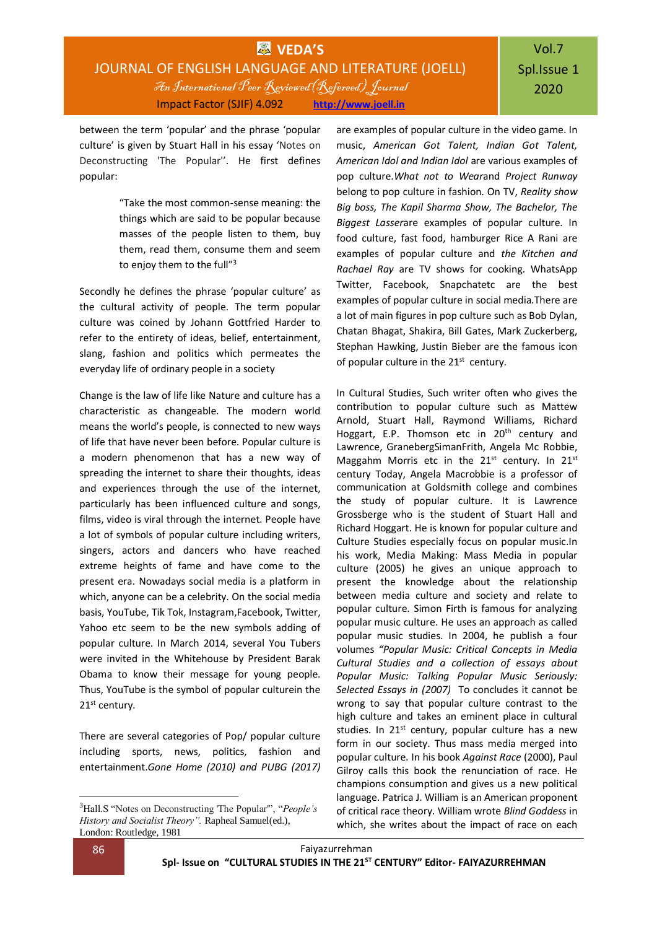## Vol.7 Spl.Issue 1 2020

between the term 'popular' and the phrase 'popular culture' is given by Stuart Hall in his essay 'Notes on Deconstructing 'The Popular''. He first defines popular:

> "Take the most common-sense meaning: the things which are said to be popular because masses of the people listen to them, buy them, read them, consume them and seem to enjoy them to the full"<sup>3</sup>

Secondly he defines the phrase 'popular culture' as the cultural activity of people. The term popular culture was coined by Johann Gottfried Harder to refer to the entirety of ideas, belief, entertainment, slang, fashion and politics which permeates the everyday life of ordinary people in a society

Change is the law of life like Nature and culture has a characteristic as changeable. The modern world means the world's people, is connected to new ways of life that have never been before. Popular culture is a modern phenomenon that has a new way of spreading the internet to share their thoughts, ideas and experiences through the use of the internet, particularly has been influenced culture and songs, films, video is viral through the internet. People have a lot of symbols of popular culture including writers, singers, actors and dancers who have reached extreme heights of fame and have come to the present era. Nowadays social media is a platform in which, anyone can be a celebrity. On the social media basis, YouTube, Tik Tok, Instagram,Facebook, Twitter, Yahoo etc seem to be the new symbols adding of popular culture. In March 2014, several You Tubers were invited in the Whitehouse by President Barak Obama to know their message for young people. Thus, YouTube is the symbol of popular culturein the 21<sup>st</sup> century.

There are several categories of Pop/ popular culture including sports, news, politics, fashion and entertainment.*Gone Home (2010) and PUBG (2017)*

are examples of popular culture in the video game. In music, *American Got Talent, Indian Got Talent, American Idol and Indian Idol* are various examples of pop culture.*What not to Wear*and *Project Runway* belong to pop culture in fashion. On TV, *Reality show Big boss, The Kapil Sharma Show, The Bachelor, The Biggest Lasser*are examples of popular culture. In food culture, fast food, hamburger Rice A Rani are examples of popular culture and *the Kitchen and Rachael Ray* are TV shows for cooking. WhatsApp Twitter, Facebook, Snapchatetc are the best examples of popular culture in social media.There are a lot of main figures in pop culture such as Bob Dylan, Chatan Bhagat, Shakira, Bill Gates, Mark Zuckerberg, Stephan Hawking, Justin Bieber are the famous icon of popular culture in the  $21^{st}$  century.

In Cultural Studies, Such writer often who gives the contribution to popular culture such as Mattew Arnold, Stuart Hall, Raymond Williams, Richard Hoggart, E.P. Thomson etc in 20<sup>th</sup> century and Lawrence, GranebergSimanFrith, Angela Mc Robbie, Maggahm Morris etc in the  $21^{st}$  century. In  $21^{st}$ century Today, Angela Macrobbie is a professor of communication at Goldsmith college and combines the study of popular culture. It is Lawrence Grossberge who is the student of Stuart Hall and Richard Hoggart. He is known for popular culture and Culture Studies especially focus on popular music.In his work, Media Making: Mass Media in popular culture (2005) he gives an unique approach to present the knowledge about the relationship between media culture and society and relate to popular culture. Simon Firth is famous for analyzing popular music culture. He uses an approach as called popular music studies. In 2004, he publish a four volumes *"Popular Music: Critical Concepts in Media Cultural Studies and a collection of essays about Popular Music: Talking Popular Music Seriously: Selected Essays in (2007)* To concludes it cannot be wrong to say that popular culture contrast to the high culture and takes an eminent place in cultural studies. In  $21^{st}$  century, popular culture has a new form in our society. Thus mass media merged into popular culture. In his book *Against Race* (2000), Paul Gilroy calls this book the renunciation of race. He champions consumption and gives us a new political language. Patrica J. William is an American proponent of critical race theory. William wrote *Blind Goddess* in which, she writes about the impact of race on each

**.** 

<sup>3</sup>Hall.S "Notes on Deconstructing 'The Popular'", "*People's History and Socialist Theory".* Rapheal Samuel(ed.), London: Routledge, 1981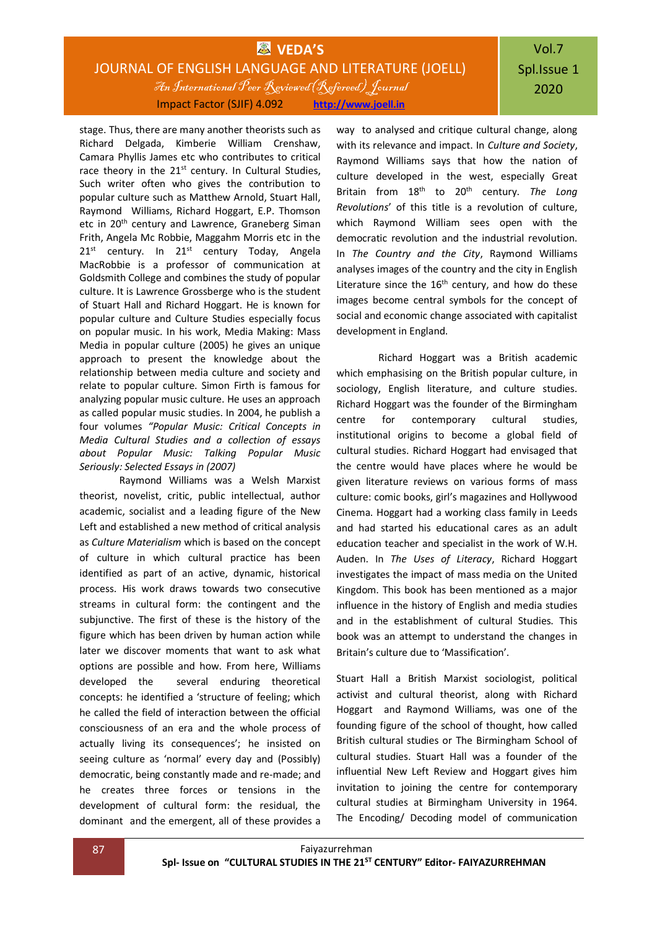## **WEDA'S** JOURNAL OF ENGLISH LANGUAGE AND LITERATURE (JOELL) An International Peer Reviewed(Refereed) Journal Impact Factor (SJIF) 4.092 **[http://www.joell.in](http://www.joell.in/)**

# Vol.7 Spl.Issue 1 2020

stage. Thus, there are many another theorists such as Richard Delgada, Kimberie William Crenshaw, Camara Phyllis James etc who contributes to critical race theory in the  $21<sup>st</sup>$  century. In Cultural Studies, Such writer often who gives the contribution to popular culture such as Matthew Arnold, Stuart Hall, Raymond Williams, Richard Hoggart, E.P. Thomson etc in 20<sup>th</sup> century and Lawrence, Graneberg Siman Frith, Angela Mc Robbie, Maggahm Morris etc in the  $21^{st}$  century. In  $21^{st}$  century Today, Angela MacRobbie is a professor of communication at Goldsmith College and combines the study of popular culture. It is Lawrence Grossberge who is the student of Stuart Hall and Richard Hoggart. He is known for popular culture and Culture Studies especially focus on popular music. In his work, Media Making: Mass Media in popular culture (2005) he gives an unique approach to present the knowledge about the relationship between media culture and society and relate to popular culture. Simon Firth is famous for analyzing popular music culture. He uses an approach as called popular music studies. In 2004, he publish a four volumes *"Popular Music: Critical Concepts in Media Cultural Studies and a collection of essays about Popular Music: Talking Popular Music Seriously: Selected Essays in (2007)* 

Raymond Williams was a Welsh Marxist theorist, novelist, critic, public intellectual, author academic, socialist and a leading figure of the New Left and established a new method of critical analysis as *Culture Materialism* which is based on the concept of culture in which cultural practice has been identified as part of an active, dynamic, historical process. His work draws towards two consecutive streams in cultural form: the contingent and the subjunctive. The first of these is the history of the figure which has been driven by human action while later we discover moments that want to ask what options are possible and how. From here, Williams developed the several enduring theoretical concepts: he identified a 'structure of feeling; which he called the field of interaction between the official consciousness of an era and the whole process of actually living its consequences'; he insisted on seeing culture as 'normal' every day and (Possibly) democratic, being constantly made and re-made; and he creates three forces or tensions in the development of cultural form: the residual, the dominant and the emergent, all of these provides a

way to analysed and critique cultural change, along with its relevance and impact. In *Culture and Society*, Raymond Williams says that how the nation of culture developed in the west, especially Great Britain from 18th to 20th century. *The Long Revolutions*' of this title is a revolution of culture, which Raymond William sees open with the democratic revolution and the industrial revolution. In *The Country and the City*, Raymond Williams analyses images of the country and the city in English Literature since the  $16<sup>th</sup>$  century, and how do these images become central symbols for the concept of social and economic change associated with capitalist development in England.

Richard Hoggart was a British academic which emphasising on the British popular culture, in sociology, English literature, and culture studies. Richard Hoggart was the founder of the Birmingham centre for contemporary cultural studies, institutional origins to become a global field of cultural studies. Richard Hoggart had envisaged that the centre would have places where he would be given literature reviews on various forms of mass culture: comic books, girl's magazines and Hollywood Cinema. Hoggart had a working class family in Leeds and had started his educational cares as an adult education teacher and specialist in the work of W.H. Auden. In *The Uses of Literacy*, Richard Hoggart investigates the impact of mass media on the United Kingdom. This book has been mentioned as a major influence in the history of English and media studies and in the establishment of cultural Studies. This book was an attempt to understand the changes in Britain's culture due to 'Massification'.

Stuart Hall a British Marxist sociologist, political activist and cultural theorist, along with Richard Hoggart and Raymond Williams, was one of the founding figure of the school of thought, how called British cultural studies or The Birmingham School of cultural studies. Stuart Hall was a founder of the influential New Left Review and Hoggart gives him invitation to joining the centre for contemporary cultural studies at Birmingham University in 1964. The Encoding/ Decoding model of communication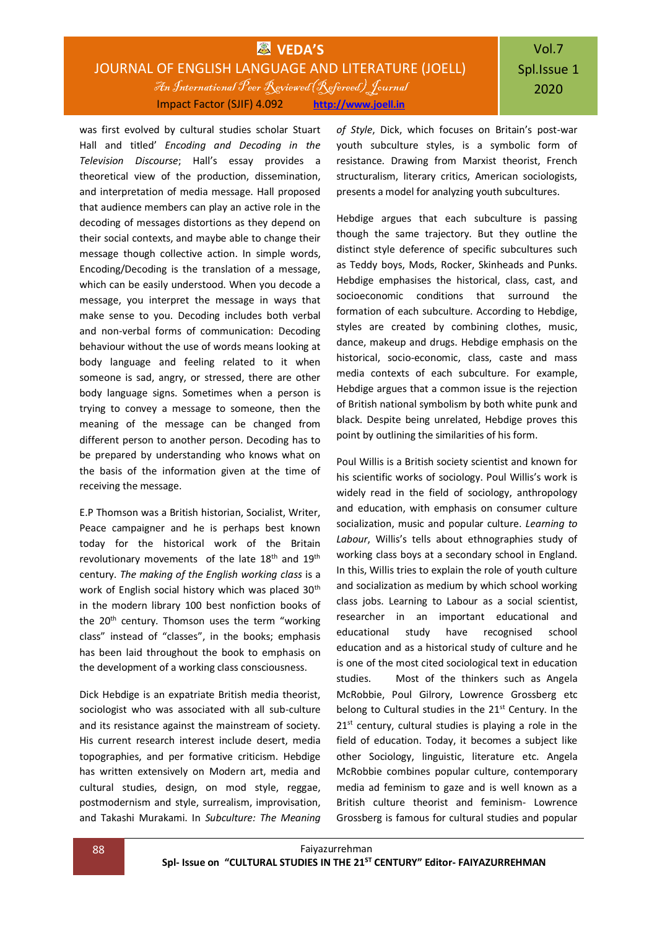## **WAS** VEDA'S JOURNAL OF ENGLISH LANGUAGE AND LITERATURE (JOELL) An International Peer Reviewed(Refereed) Journal Impact Factor (SJIF) 4.092 **[http://www.joell.in](http://www.joell.in/)**

was first evolved by cultural studies scholar Stuart Hall and titled' *Encoding and Decoding in the Television Discourse*; Hall's essay provides a theoretical view of the production, dissemination, and interpretation of media message. Hall proposed that audience members can play an active role in the decoding of messages distortions as they depend on their social contexts, and maybe able to change their message though collective action. In simple words, Encoding/Decoding is the translation of a message, which can be easily understood. When you decode a message, you interpret the message in ways that make sense to you. Decoding includes both verbal and non-verbal forms of communication: Decoding behaviour without the use of words means looking at body language and feeling related to it when someone is sad, angry, or stressed, there are other body language signs. Sometimes when a person is trying to convey a message to someone, then the meaning of the message can be changed from different person to another person. Decoding has to be prepared by understanding who knows what on the basis of the information given at the time of receiving the message.

E.P Thomson was a British historian, Socialist, Writer, Peace campaigner and he is perhaps best known today for the historical work of the Britain revolutionary movements of the late 18<sup>th</sup> and 19<sup>th</sup> century. *The making of the English working class* is a work of English social history which was placed 30<sup>th</sup> in the modern library 100 best nonfiction books of the  $20<sup>th</sup>$  century. Thomson uses the term "working class" instead of "classes", in the books; emphasis has been laid throughout the book to emphasis on the development of a working class consciousness.

Dick Hebdige is an expatriate British media theorist, sociologist who was associated with all sub-culture and its resistance against the mainstream of society. His current research interest include desert, media topographies, and per formative criticism. Hebdige has written extensively on Modern art, media and cultural studies, design, on mod style, reggae, postmodernism and style, surrealism, improvisation, and Takashi Murakami. In *Subculture: The Meaning* 

*of Style*, Dick, which focuses on Britain's post-war youth subculture styles, is a symbolic form of resistance. Drawing from Marxist theorist, French structuralism, literary critics, American sociologists, presents a model for analyzing youth subcultures.

Hebdige argues that each subculture is passing though the same trajectory. But they outline the distinct style deference of specific subcultures such as Teddy boys, Mods, Rocker, Skinheads and Punks. Hebdige emphasises the historical, class, cast, and socioeconomic conditions that surround the formation of each subculture. According to Hebdige, styles are created by combining clothes, music, dance, makeup and drugs. Hebdige emphasis on the historical, socio-economic, class, caste and mass media contexts of each subculture. For example, Hebdige argues that a common issue is the rejection of British national symbolism by both white punk and black. Despite being unrelated, Hebdige proves this point by outlining the similarities of his form.

Poul Willis is a British society scientist and known for his scientific works of sociology. Poul Willis's work is widely read in the field of sociology, anthropology and education, with emphasis on consumer culture socialization, music and popular culture. *Learning to Labour*, Willis's tells about ethnographies study of working class boys at a secondary school in England. In this, Willis tries to explain the role of youth culture and socialization as medium by which school working class jobs. Learning to Labour as a social scientist, researcher in an important educational and educational study have recognised school education and as a historical study of culture and he is one of the most cited sociological text in education studies. Most of the thinkers such as Angela McRobbie, Poul Gilrory, Lowrence Grossberg etc belong to Cultural studies in the  $21<sup>st</sup>$  Century. In the  $21<sup>st</sup>$  century, cultural studies is playing a role in the field of education. Today, it becomes a subject like other Sociology, linguistic, literature etc. Angela McRobbie combines popular culture, contemporary media ad feminism to gaze and is well known as a British culture theorist and feminism- Lowrence Grossberg is famous for cultural studies and popular